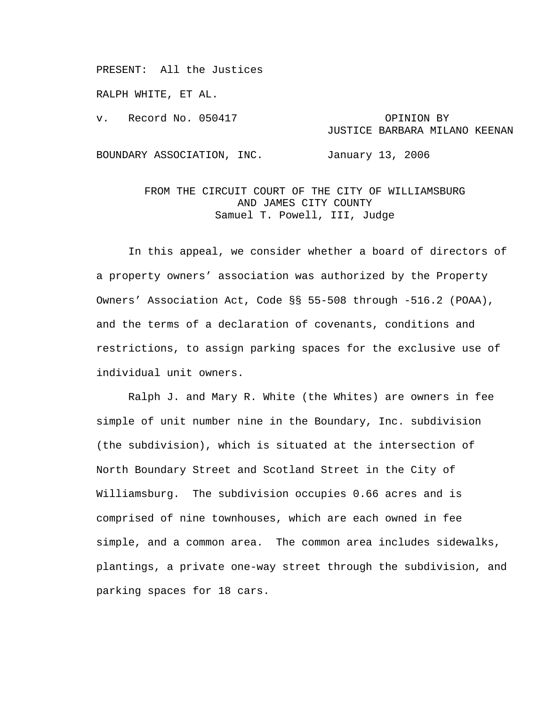PRESENT: All the Justices

RALPH WHITE, ET AL.

v. Record No. 050417 OPINION BY

## JUSTICE BARBARA MILANO KEENAN

BOUNDARY ASSOCIATION, INC. January 13, 2006

## FROM THE CIRCUIT COURT OF THE CITY OF WILLIAMSBURG AND JAMES CITY COUNTY Samuel T. Powell, III, Judge

In this appeal, we consider whether a board of directors of a property owners' association was authorized by the Property Owners' Association Act, Code §§ 55-508 through -516.2 (POAA), and the terms of a declaration of covenants, conditions and restrictions, to assign parking spaces for the exclusive use of individual unit owners.

Ralph J. and Mary R. White (the Whites) are owners in fee simple of unit number nine in the Boundary, Inc. subdivision (the subdivision), which is situated at the intersection of North Boundary Street and Scotland Street in the City of Williamsburg. The subdivision occupies 0.66 acres and is comprised of nine townhouses, which are each owned in fee simple, and a common area. The common area includes sidewalks, plantings, a private one-way street through the subdivision, and parking spaces for 18 cars.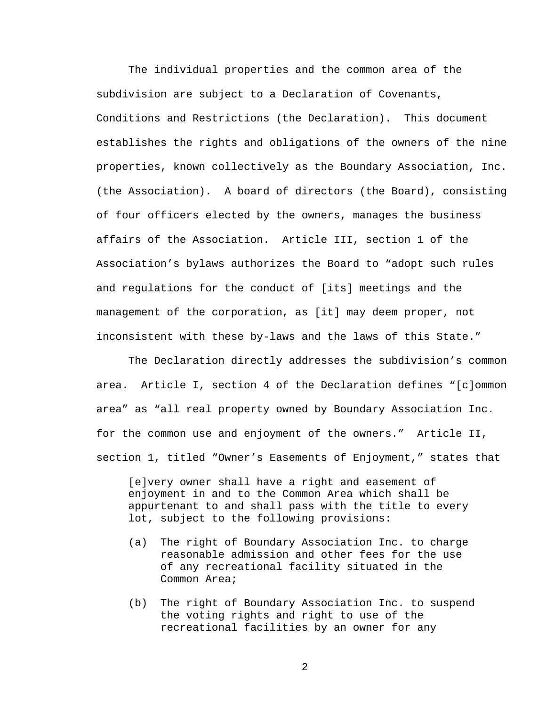The individual properties and the common area of the subdivision are subject to a Declaration of Covenants, Conditions and Restrictions (the Declaration). This document establishes the rights and obligations of the owners of the nine properties, known collectively as the Boundary Association, Inc. (the Association). A board of directors (the Board), consisting of four officers elected by the owners, manages the business affairs of the Association. Article III, section 1 of the Association's bylaws authorizes the Board to "adopt such rules and regulations for the conduct of [its] meetings and the management of the corporation, as [it] may deem proper, not inconsistent with these by-laws and the laws of this State."

The Declaration directly addresses the subdivision's common area. Article I, section 4 of the Declaration defines "[c]ommon area" as "all real property owned by Boundary Association Inc. for the common use and enjoyment of the owners." Article II, section 1, titled "Owner's Easements of Enjoyment," states that

[e]very owner shall have a right and easement of enjoyment in and to the Common Area which shall be appurtenant to and shall pass with the title to every lot, subject to the following provisions:

- (a) The right of Boundary Association Inc. to charge reasonable admission and other fees for the use of any recreational facility situated in the Common Area;
- (b) The right of Boundary Association Inc. to suspend the voting rights and right to use of the recreational facilities by an owner for any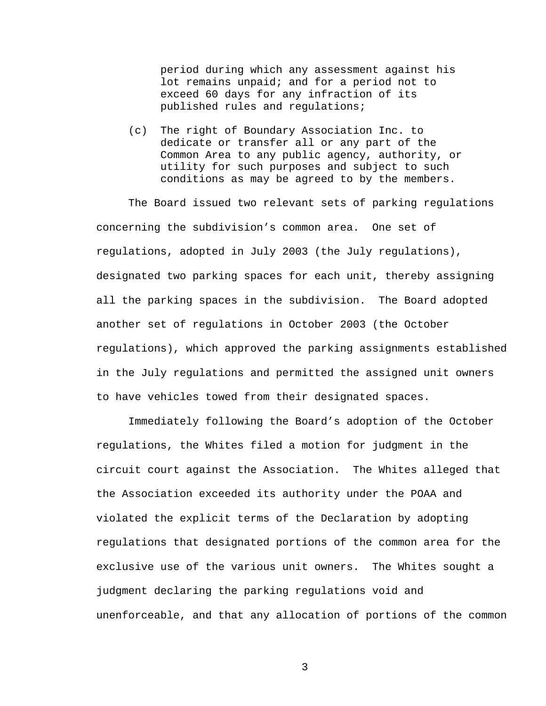period during which any assessment against his lot remains unpaid; and for a period not to exceed 60 days for any infraction of its published rules and regulations;

(c) The right of Boundary Association Inc. to dedicate or transfer all or any part of the Common Area to any public agency, authority, or utility for such purposes and subject to such conditions as may be agreed to by the members.

The Board issued two relevant sets of parking regulations concerning the subdivision's common area. One set of regulations, adopted in July 2003 (the July regulations), designated two parking spaces for each unit, thereby assigning all the parking spaces in the subdivision. The Board adopted another set of regulations in October 2003 (the October regulations), which approved the parking assignments established in the July regulations and permitted the assigned unit owners to have vehicles towed from their designated spaces.

Immediately following the Board's adoption of the October regulations, the Whites filed a motion for judgment in the circuit court against the Association. The Whites alleged that the Association exceeded its authority under the POAA and violated the explicit terms of the Declaration by adopting regulations that designated portions of the common area for the exclusive use of the various unit owners. The Whites sought a judgment declaring the parking regulations void and unenforceable, and that any allocation of portions of the common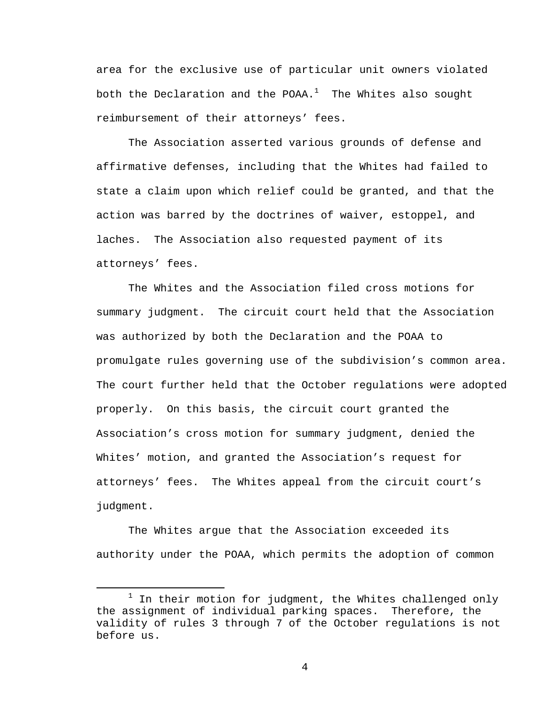area for the exclusive use of particular unit owners violated both the Declaration and the POAA. $^1\;$  The Whites also sought reimbursement of their attorneys' fees.

The Association asserted various grounds of defense and affirmative defenses, including that the Whites had failed to state a claim upon which relief could be granted, and that the action was barred by the doctrines of waiver, estoppel, and laches. The Association also requested payment of its attorneys' fees.

The Whites and the Association filed cross motions for summary judgment. The circuit court held that the Association was authorized by both the Declaration and the POAA to promulgate rules governing use of the subdivision's common area. The court further held that the October regulations were adopted properly. On this basis, the circuit court granted the Association's cross motion for summary judgment, denied the Whites' motion, and granted the Association's request for attorneys' fees. The Whites appeal from the circuit court's judgment.

The Whites argue that the Association exceeded its authority under the POAA, which permits the adoption of common

<sup>&</sup>lt;u>1</u>  $1$  In their motion for judgment, the Whites challenged only the assignment of individual parking spaces. Therefore, the validity of rules 3 through 7 of the October regulations is not before us.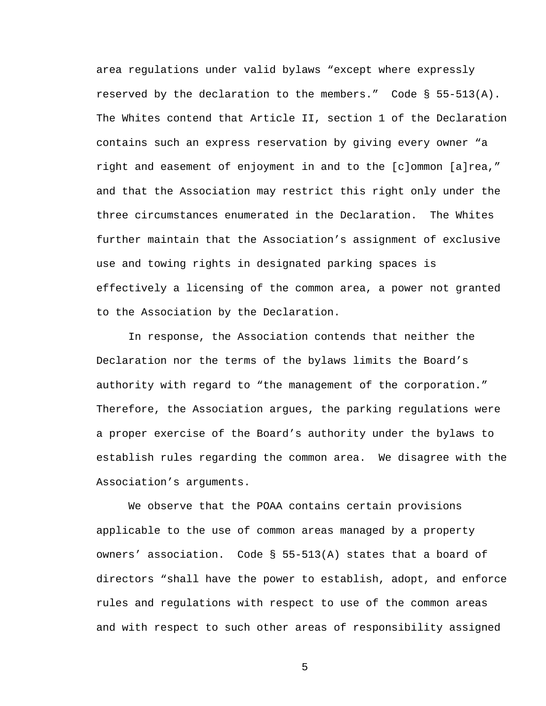area regulations under valid bylaws "except where expressly reserved by the declaration to the members." Code § 55-513(A). The Whites contend that Article II, section 1 of the Declaration contains such an express reservation by giving every owner "a right and easement of enjoyment in and to the [c]ommon [a]rea," and that the Association may restrict this right only under the three circumstances enumerated in the Declaration. The Whites further maintain that the Association's assignment of exclusive use and towing rights in designated parking spaces is effectively a licensing of the common area, a power not granted to the Association by the Declaration.

In response, the Association contends that neither the Declaration nor the terms of the bylaws limits the Board's authority with regard to "the management of the corporation." Therefore, the Association argues, the parking regulations were a proper exercise of the Board's authority under the bylaws to establish rules regarding the common area. We disagree with the Association's arguments.

We observe that the POAA contains certain provisions applicable to the use of common areas managed by a property owners' association. Code § 55-513(A) states that a board of directors "shall have the power to establish, adopt, and enforce rules and regulations with respect to use of the common areas and with respect to such other areas of responsibility assigned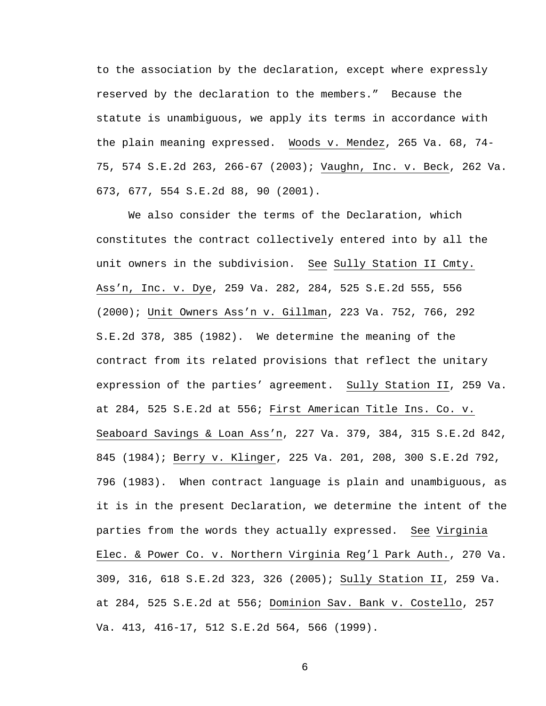to the association by the declaration, except where expressly reserved by the declaration to the members." Because the statute is unambiguous, we apply its terms in accordance with the plain meaning expressed. Woods v. Mendez, 265 Va. 68, 74- 75, 574 S.E.2d 263, 266-67 (2003); Vaughn, Inc. v. Beck, 262 Va. 673, 677, 554 S.E.2d 88, 90 (2001).

We also consider the terms of the Declaration, which constitutes the contract collectively entered into by all the unit owners in the subdivision. See Sully Station II Cmty. Ass'n, Inc. v. Dye, 259 Va. 282, 284, 525 S.E.2d 555, 556 (2000); Unit Owners Ass'n v. Gillman, 223 Va. 752, 766, 292 S.E.2d 378, 385 (1982). We determine the meaning of the contract from its related provisions that reflect the unitary expression of the parties' agreement. Sully Station II, 259 Va. at 284, 525 S.E.2d at 556; First American Title Ins. Co. v. Seaboard Savings & Loan Ass'n, 227 Va. 379, 384, 315 S.E.2d 842, 845 (1984); Berry v. Klinger, 225 Va. 201, 208, 300 S.E.2d 792, 796 (1983). When contract language is plain and unambiguous, as it is in the present Declaration, we determine the intent of the parties from the words they actually expressed. See Virginia Elec. & Power Co. v. Northern Virginia Reg'l Park Auth., 270 Va. 309, 316, 618 S.E.2d 323, 326 (2005); Sully Station II, 259 Va. at 284, 525 S.E.2d at 556; Dominion Sav. Bank v. Costello, 257 Va. 413, 416-17, 512 S.E.2d 564, 566 (1999).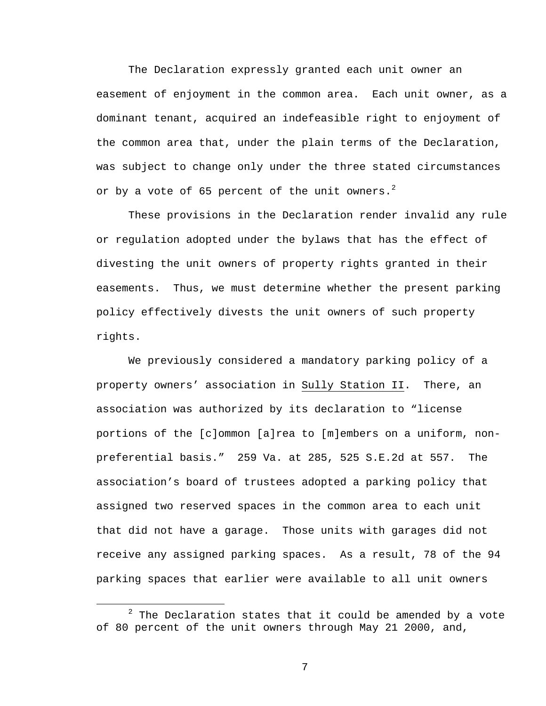The Declaration expressly granted each unit owner an easement of enjoyment in the common area. Each unit owner, as a dominant tenant, acquired an indefeasible right to enjoyment of the common area that, under the plain terms of the Declaration, was subject to change only under the three stated circumstances or by a vote of 65 percent of the unit owners. $2$ 

These provisions in the Declaration render invalid any rule or regulation adopted under the bylaws that has the effect of divesting the unit owners of property rights granted in their easements. Thus, we must determine whether the present parking policy effectively divests the unit owners of such property rights.

We previously considered a mandatory parking policy of a property owners' association in Sully Station II. There, an association was authorized by its declaration to "license portions of the [c]ommon [a]rea to [m]embers on a uniform, nonpreferential basis." 259 Va. at 285, 525 S.E.2d at 557. The association's board of trustees adopted a parking policy that assigned two reserved spaces in the common area to each unit that did not have a garage. Those units with garages did not receive any assigned parking spaces. As a result, 78 of the 94 parking spaces that earlier were available to all unit owners

 <sup>2</sup>  $2$  The Declaration states that it could be amended by a vote of 80 percent of the unit owners through May 21 2000, and,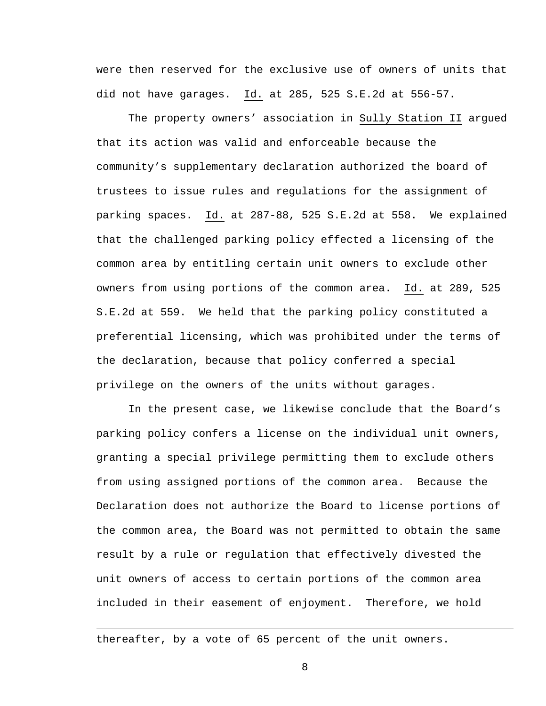were then reserved for the exclusive use of owners of units that did not have garages. Id. at 285, 525 S.E.2d at 556-57.

The property owners' association in Sully Station II argued that its action was valid and enforceable because the community's supplementary declaration authorized the board of trustees to issue rules and regulations for the assignment of parking spaces. Id. at 287-88, 525 S.E.2d at 558. We explained that the challenged parking policy effected a licensing of the common area by entitling certain unit owners to exclude other owners from using portions of the common area. Id. at 289, 525 S.E.2d at 559. We held that the parking policy constituted a preferential licensing, which was prohibited under the terms of the declaration, because that policy conferred a special privilege on the owners of the units without garages.

In the present case, we likewise conclude that the Board's parking policy confers a license on the individual unit owners, granting a special privilege permitting them to exclude others from using assigned portions of the common area. Because the Declaration does not authorize the Board to license portions of the common area, the Board was not permitted to obtain the same result by a rule or regulation that effectively divested the unit owners of access to certain portions of the common area included in their easement of enjoyment. Therefore, we hold

thereafter, by a vote of 65 percent of the unit owners.

i<br>Li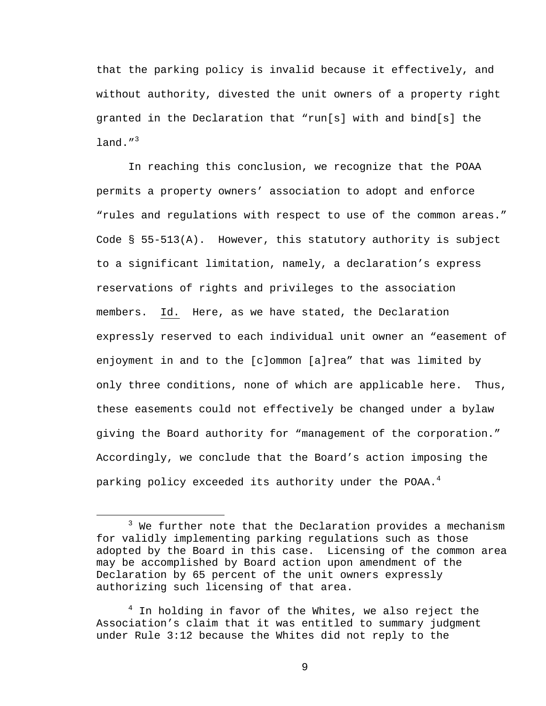that the parking policy is invalid because it effectively, and without authority, divested the unit owners of a property right granted in the Declaration that "run[s] with and bind[s] the land. $^{\prime\prime}$ <sup>3</sup>

In reaching this conclusion, we recognize that the POAA permits a property owners' association to adopt and enforce "rules and regulations with respect to use of the common areas." Code  $\S$  55-513(A). However, this statutory authority is subject to a significant limitation, namely, a declaration's express reservations of rights and privileges to the association members. Id. Here, as we have stated, the Declaration expressly reserved to each individual unit owner an "easement of enjoyment in and to the [c]ommon [a]rea" that was limited by only three conditions, none of which are applicable here. Thus, these easements could not effectively be changed under a bylaw giving the Board authority for "management of the corporation." Accordingly, we conclude that the Board's action imposing the parking policy exceeded its authority under the POAA.<sup>4</sup>

 $\begin{array}{c}\n\hline\n\end{array}$  $3$  We further note that the Declaration provides a mechanism for validly implementing parking regulations such as those adopted by the Board in this case. Licensing of the common area may be accomplished by Board action upon amendment of the Declaration by 65 percent of the unit owners expressly authorizing such licensing of that area.

<sup>&</sup>lt;sup>4</sup> In holding in favor of the Whites, we also reject the Association's claim that it was entitled to summary judgment under Rule 3:12 because the Whites did not reply to the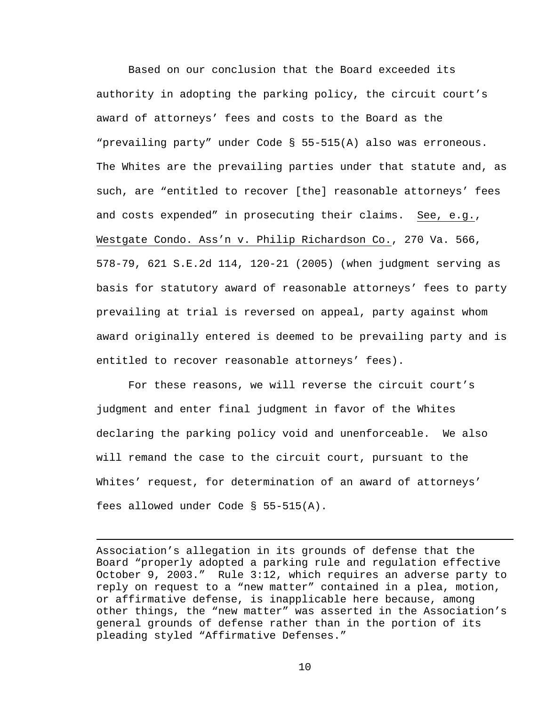Based on our conclusion that the Board exceeded its authority in adopting the parking policy, the circuit court's award of attorneys' fees and costs to the Board as the "prevailing party" under Code § 55-515(A) also was erroneous. The Whites are the prevailing parties under that statute and, as such, are "entitled to recover [the] reasonable attorneys' fees and costs expended" in prosecuting their claims. See, e.g., Westgate Condo. Ass'n v. Philip Richardson Co., 270 Va. 566, 578-79, 621 S.E.2d 114, 120-21 (2005) (when judgment serving as basis for statutory award of reasonable attorneys' fees to party prevailing at trial is reversed on appeal, party against whom award originally entered is deemed to be prevailing party and is entitled to recover reasonable attorneys' fees).

For these reasons, we will reverse the circuit court's judgment and enter final judgment in favor of the Whites declaring the parking policy void and unenforceable. We also will remand the case to the circuit court, pursuant to the Whites' request, for determination of an award of attorneys' fees allowed under Code § 55-515(A).

i

Association's allegation in its grounds of defense that the Board "properly adopted a parking rule and regulation effective October 9, 2003." Rule 3:12, which requires an adverse party to reply on request to a "new matter" contained in a plea, motion, or affirmative defense, is inapplicable here because, among other things, the "new matter" was asserted in the Association's general grounds of defense rather than in the portion of its pleading styled "Affirmative Defenses."